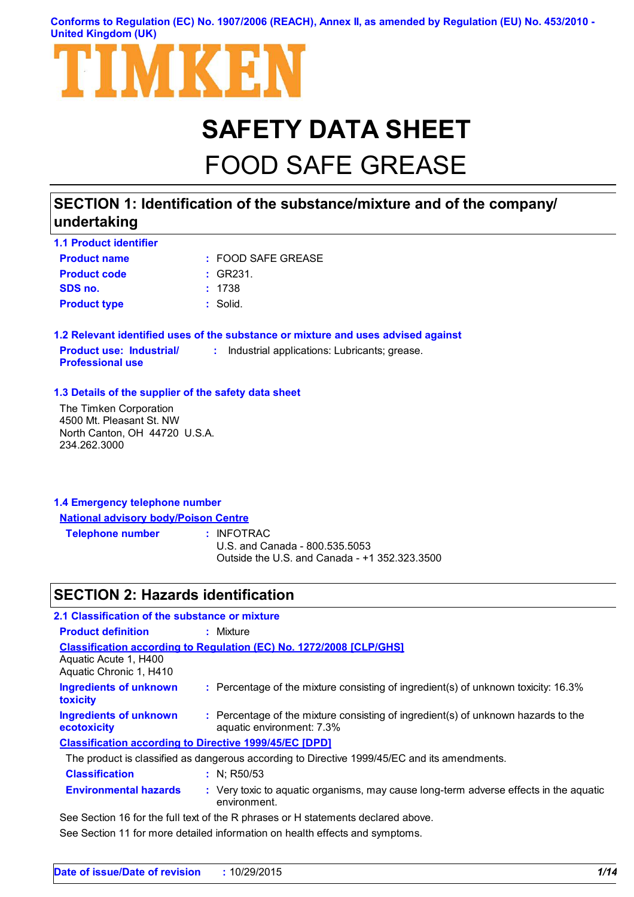#### **Conforms to Regulation (EC) No. 1907/2006 (REACH), Annex II, as amended by Regulation (EU) No. 453/2010 - United Kingdom (UK)**



# **SAFETY DATA SHEET**

# FOOD SAFE GREASE

### **SECTION 1: Identification of the substance/mixture and of the company/ undertaking**

| <b>1.1 Product identifier</b> |                       |
|-------------------------------|-----------------------|
| <b>Product name</b>           | $:$ FOOD SAFE GREASE. |
| <b>Product code</b>           | : GR231.              |
| SDS no.                       | : 1738                |
| <b>Product type</b>           | : Solid.              |

**1.2 Relevant identified uses of the substance or mixture and uses advised against Product use: Industrial/ Professional use :** Industrial applications: Lubricants; grease.

#### **1.3 Details of the supplier of the safety data sheet**

The Timken Corporation 4500 Mt. Pleasant St. NW North Canton, OH 44720 U.S.A. 234.262.3000

### **1.4 Emergency telephone number National advisory body/Poison Centre**

**Telephone number :**

: INFOTRAC

U.S. and Canada - 800.535.5053 Outside the U.S. and Canada - +1 352.323.3500

### **SECTION 2: Hazards identification**

| 2.1 Classification of the substance or mixture   |                                                                                                                |
|--------------------------------------------------|----------------------------------------------------------------------------------------------------------------|
| <b>Product definition</b>                        | : Mixture                                                                                                      |
| Aquatic Acute 1, H400<br>Aquatic Chronic 1, H410 | <b>Classification according to Regulation (EC) No. 1272/2008 [CLP/GHS]</b>                                     |
| <b>Ingredients of unknown</b><br><b>toxicity</b> | : Percentage of the mixture consisting of ingredient(s) of unknown toxicity: 16.3%                             |
| <b>Ingredients of unknown</b><br>ecotoxicity     | : Percentage of the mixture consisting of ingredient(s) of unknown hazards to the<br>aquatic environment: 7.3% |
|                                                  | <b>Classification according to Directive 1999/45/EC [DPD]</b>                                                  |
|                                                  | The product is classified as dangerous according to Directive 1999/45/EC and its amendments.                   |
| <b>Classification</b>                            | : $N$ ; R50/53                                                                                                 |
| <b>Environmental hazards</b>                     | : Very toxic to aquatic organisms, may cause long-term adverse effects in the aquatic<br>environment.          |
|                                                  |                                                                                                                |

See Section 16 for the full text of the R phrases or H statements declared above.

See Section 11 for more detailed information on health effects and symptoms.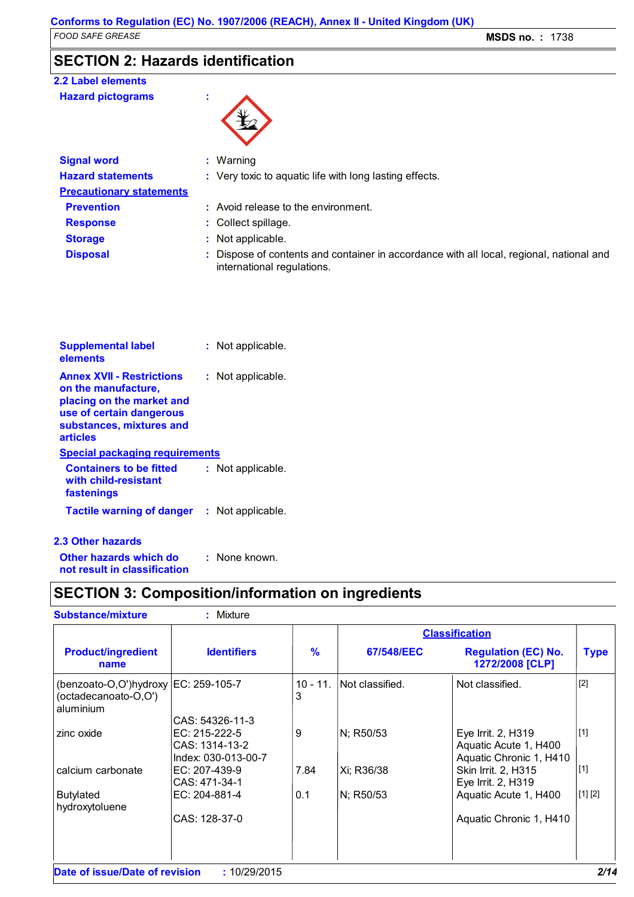### **SECTION 2: Hazards identification**

### **2.2 Label elements**

| <b>Hazard pictograms</b> |  |
|--------------------------|--|
|--------------------------|--|

| <b>Signal word</b>              | $:$ Warning                                                                                                            |  |
|---------------------------------|------------------------------------------------------------------------------------------------------------------------|--|
| <b>Hazard statements</b>        | : Very toxic to aquatic life with long lasting effects.                                                                |  |
| <b>Precautionary statements</b> |                                                                                                                        |  |
| <b>Prevention</b>               | : Avoid release to the environment.                                                                                    |  |
| <b>Response</b>                 | : Collect spillage.                                                                                                    |  |
| <b>Storage</b>                  | : Not applicable.                                                                                                      |  |
| <b>Disposal</b>                 | : Dispose of contents and container in accordance with all local, regional, national and<br>international regulations. |  |

| <b>Supplemental label</b><br>elements                                                                                                                                                      | : Not applicable. |
|--------------------------------------------------------------------------------------------------------------------------------------------------------------------------------------------|-------------------|
| <b>Annex XVII - Restrictions</b><br>on the manufacture,<br>placing on the market and<br>use of certain dangerous<br>substances, mixtures and<br>articles<br>Special packaging requirements | : Not applicable. |
| <b>Containers to be fitted</b>                                                                                                                                                             | : Not applicable. |
| with child-resistant<br>fastenings                                                                                                                                                         |                   |
| <b>Tactile warning of danger</b>                                                                                                                                                           | : Not applicable. |

#### **2.3 Other hazards**

**Other hazards which do : not result in classification** : None known.

### **SECTION 3: Composition/information on ingredients**

| <b>Substance/mixture</b>                                                      | : Mixture                                                                 |                       |                 |                                                                        |             |
|-------------------------------------------------------------------------------|---------------------------------------------------------------------------|-----------------------|-----------------|------------------------------------------------------------------------|-------------|
|                                                                               |                                                                           | <b>Classification</b> |                 |                                                                        |             |
| <b>Product/ingredient</b><br>name                                             | <b>Identifiers</b>                                                        | %                     | 67/548/EEC      | <b>Regulation (EC) No.</b><br>1272/2008 [CLP]                          | <b>Type</b> |
| (benzoato-O,O')hydroxy   EC: 259-105-7<br>(octadecanoato-O,O')<br>l aluminium |                                                                           | $10 - 11.$<br>3       | Not classified. | Not classified.                                                        | $[2]$       |
| zinc oxide                                                                    | CAS: 54326-11-3<br>EC: 215-222-5<br>CAS: 1314-13-2<br>Index: 030-013-00-7 | 9                     | N; R50/53       | Eye Irrit. 2, H319<br>Aquatic Acute 1, H400<br>Aquatic Chronic 1, H410 | $[1]$       |
| calcium carbonate                                                             | EC: 207-439-9<br>CAS: 471-34-1                                            | 7.84                  | Xi; R36/38      | Skin Irrit. 2, H315<br>Eye Irrit. 2, H319                              | $[1]$       |
| Butylated<br>hydroxytoluene                                                   | EC: 204-881-4                                                             | 0.1                   | N; R50/53       | Aquatic Acute 1, H400                                                  | [1] [2]     |
|                                                                               | CAS: 128-37-0                                                             |                       |                 | Aquatic Chronic 1, H410                                                |             |
| Date of issue/Date of revision                                                | : 10/29/2015                                                              |                       |                 |                                                                        | 2/14        |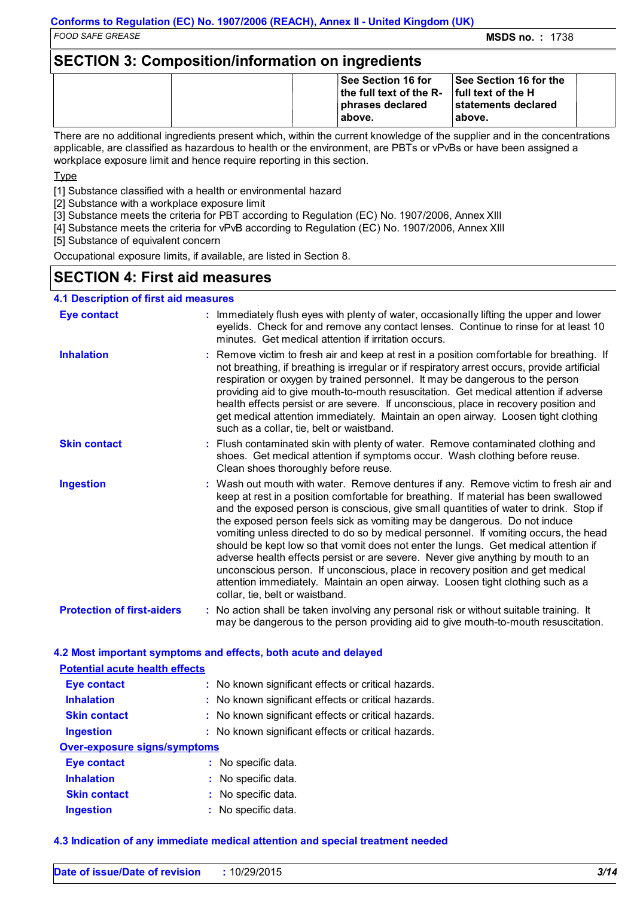### **SECTION 3: Composition/information on ingredients**

|  | <b>See Section 16 for</b><br>the full text of the R- $\ $ full text of the H<br>phrases declared<br>above. | <b>See Section 16 for the</b><br><b>Istatements declared</b><br>above. |  |
|--|------------------------------------------------------------------------------------------------------------|------------------------------------------------------------------------|--|
|--|------------------------------------------------------------------------------------------------------------|------------------------------------------------------------------------|--|

There are no additional ingredients present which, within the current knowledge of the supplier and in the concentrations applicable, are classified as hazardous to health or the environment, are PBTs or vPvBs or have been assigned a workplace exposure limit and hence require reporting in this section.

Type

[1] Substance classified with a health or environmental hazard

- [2] Substance with a workplace exposure limit
- [3] Substance meets the criteria for PBT according to Regulation (EC) No. 1907/2006, Annex XIII
- [4] Substance meets the criteria for vPvB according to Regulation (EC) No. 1907/2006, Annex XIII

[5] Substance of equivalent concern

Occupational exposure limits, if available, are listed in Section 8.

### **SECTION 4: First aid measures**

#### **4.1 Description of first aid measures**

| <b>Eye contact</b>                | : Immediately flush eyes with plenty of water, occasionally lifting the upper and lower<br>eyelids. Check for and remove any contact lenses. Continue to rinse for at least 10<br>minutes. Get medical attention if irritation occurs.                                                                                                                                                                                                                                                                                                                                                                                                                                                                                                                                                                                       |
|-----------------------------------|------------------------------------------------------------------------------------------------------------------------------------------------------------------------------------------------------------------------------------------------------------------------------------------------------------------------------------------------------------------------------------------------------------------------------------------------------------------------------------------------------------------------------------------------------------------------------------------------------------------------------------------------------------------------------------------------------------------------------------------------------------------------------------------------------------------------------|
| <b>Inhalation</b>                 | : Remove victim to fresh air and keep at rest in a position comfortable for breathing. If<br>not breathing, if breathing is irregular or if respiratory arrest occurs, provide artificial<br>respiration or oxygen by trained personnel. It may be dangerous to the person<br>providing aid to give mouth-to-mouth resuscitation. Get medical attention if adverse<br>health effects persist or are severe. If unconscious, place in recovery position and<br>get medical attention immediately. Maintain an open airway. Loosen tight clothing<br>such as a collar, tie, belt or waistband.                                                                                                                                                                                                                                 |
| <b>Skin contact</b>               | : Flush contaminated skin with plenty of water. Remove contaminated clothing and<br>shoes. Get medical attention if symptoms occur. Wash clothing before reuse.<br>Clean shoes thoroughly before reuse.                                                                                                                                                                                                                                                                                                                                                                                                                                                                                                                                                                                                                      |
| <b>Ingestion</b>                  | : Wash out mouth with water. Remove dentures if any. Remove victim to fresh air and<br>keep at rest in a position comfortable for breathing. If material has been swallowed<br>and the exposed person is conscious, give small quantities of water to drink. Stop if<br>the exposed person feels sick as vomiting may be dangerous. Do not induce<br>vomiting unless directed to do so by medical personnel. If vomiting occurs, the head<br>should be kept low so that vomit does not enter the lungs. Get medical attention if<br>adverse health effects persist or are severe. Never give anything by mouth to an<br>unconscious person. If unconscious, place in recovery position and get medical<br>attention immediately. Maintain an open airway. Loosen tight clothing such as a<br>collar, tie, belt or waistband. |
| <b>Protection of first-aiders</b> | : No action shall be taken involving any personal risk or without suitable training. It<br>may be dangerous to the person providing aid to give mouth-to-mouth resuscitation.                                                                                                                                                                                                                                                                                                                                                                                                                                                                                                                                                                                                                                                |

#### **4.2 Most important symptoms and effects, both acute and delayed**

| <b>Potential acute health effects</b> |                                                     |
|---------------------------------------|-----------------------------------------------------|
| <b>Eye contact</b>                    | : No known significant effects or critical hazards. |
| <b>Inhalation</b>                     | : No known significant effects or critical hazards. |
| <b>Skin contact</b>                   | : No known significant effects or critical hazards. |
| <b>Ingestion</b>                      | : No known significant effects or critical hazards. |
| Over-exposure signs/symptoms          |                                                     |
| Eye contact                           | : No specific data.                                 |
| <b>Inhalation</b>                     | : No specific data.                                 |
| <b>Skin contact</b>                   | : No specific data.                                 |
| <b>Ingestion</b>                      | : No specific data.                                 |

#### **4.3 Indication of any immediate medical attention and special treatment needed**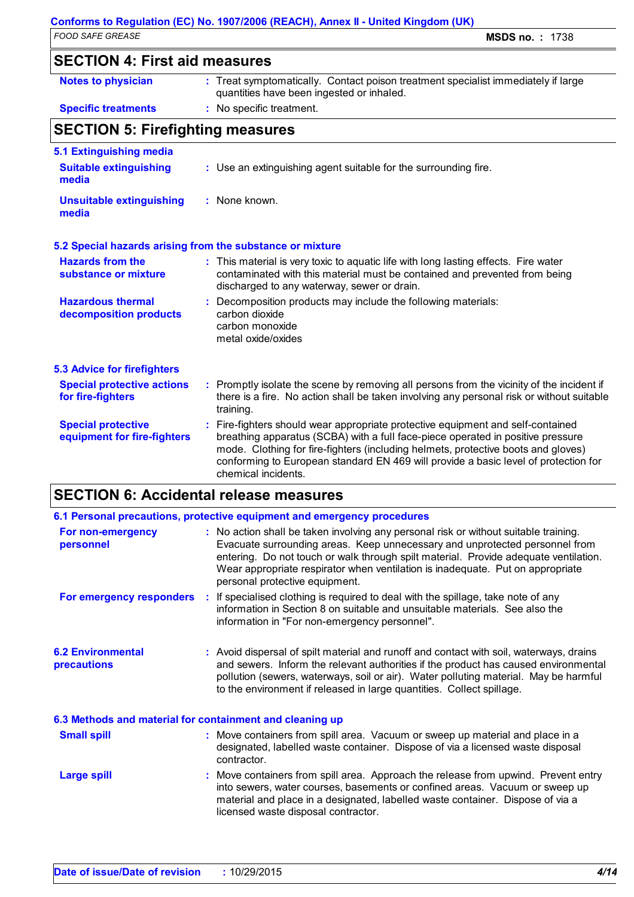# **Conforms to Regulation (EC) No. 1907/2006 (REACH), Annex II - United Kingdom (UK)**<br>FOOD SAFE GREASE

*FOOD SAFE GREASE* **MSDS no. :** 1738

| 00 <i>0 un L</i> UnLau                                            |                                                                                                                                                                                                                  |
|-------------------------------------------------------------------|------------------------------------------------------------------------------------------------------------------------------------------------------------------------------------------------------------------|
| <b>SECTION 4: First aid measures</b>                              |                                                                                                                                                                                                                  |
| <b>Notes to physician</b>                                         | : Treat symptomatically. Contact poison treatment specialist immediately if large<br>quantities have been ingested or inhaled.                                                                                   |
| <b>Specific treatments</b>                                        | : No specific treatment.                                                                                                                                                                                         |
| <b>SECTION 5: Firefighting measures</b>                           |                                                                                                                                                                                                                  |
| 5.1 Extinguishing media<br><b>Suitable extinguishing</b><br>media | : Use an extinguishing agent suitable for the surrounding fire.                                                                                                                                                  |
| <b>Unsuitable extinguishing</b><br>media                          | : None known.                                                                                                                                                                                                    |
|                                                                   | 5.2 Special hazards arising from the substance or mixture                                                                                                                                                        |
| <b>Hazards from the</b><br>substance or mixture                   | : This material is very toxic to aquatic life with long lasting effects. Fire water<br>contaminated with this material must be contained and prevented from being<br>discharged to any waterway, sewer or drain. |
| <b>Hazardous thermal</b><br>decomposition products                | Decomposition products may include the following materials:<br>carbon dioxide<br>carbon monoxide<br>metal oxide/oxides                                                                                           |
| <b>5.3 Advice for firefighters</b>                                |                                                                                                                                                                                                                  |
|                                                                   |                                                                                                                                                                                                                  |

| <b>Special protective actions</b><br>for fire-fighters   | : Promptly isolate the scene by removing all persons from the vicinity of the incident if<br>there is a fire. No action shall be taken involving any personal risk or without suitable<br>training.                                                                                                                                            |
|----------------------------------------------------------|------------------------------------------------------------------------------------------------------------------------------------------------------------------------------------------------------------------------------------------------------------------------------------------------------------------------------------------------|
| <b>Special protective</b><br>equipment for fire-fighters | : Fire-fighters should wear appropriate protective equipment and self-contained<br>breathing apparatus (SCBA) with a full face-piece operated in positive pressure<br>mode. Clothing for fire-fighters (including helmets, protective boots and gloves)<br>conforming to European standard EN 469 will provide a basic level of protection for |

### **SECTION 6: Accidental release measures**

chemical incidents.

|                                                          | 6.1 Personal precautions, protective equipment and emergency procedures                                                                                                                                                                                                                                                                                                         |
|----------------------------------------------------------|---------------------------------------------------------------------------------------------------------------------------------------------------------------------------------------------------------------------------------------------------------------------------------------------------------------------------------------------------------------------------------|
| For non-emergency<br>personnel                           | : No action shall be taken involving any personal risk or without suitable training.<br>Evacuate surrounding areas. Keep unnecessary and unprotected personnel from<br>entering. Do not touch or walk through spilt material. Provide adequate ventilation.<br>Wear appropriate respirator when ventilation is inadequate. Put on appropriate<br>personal protective equipment. |
| For emergency responders                                 | : If specialised clothing is required to deal with the spillage, take note of any<br>information in Section 8 on suitable and unsuitable materials. See also the<br>information in "For non-emergency personnel".                                                                                                                                                               |
| <b>6.2 Environmental</b><br>precautions                  | : Avoid dispersal of spilt material and runoff and contact with soil, waterways, drains<br>and sewers. Inform the relevant authorities if the product has caused environmental<br>pollution (sewers, waterways, soil or air). Water polluting material. May be harmful<br>to the environment if released in large quantities. Collect spillage.                                 |
| 6.3 Methods and material for containment and cleaning up |                                                                                                                                                                                                                                                                                                                                                                                 |
| <b>Small spill</b>                                       | : Move containers from spill area. Vacuum or sweep up material and place in a<br>designated, labelled waste container. Dispose of via a licensed waste disposal<br>contractor.                                                                                                                                                                                                  |
| <b>Large spill</b>                                       | : Move containers from spill area. Approach the release from upwind. Prevent entry<br>into sewers, water courses, basements or confined areas. Vacuum or sweep up<br>material and place in a designated, labelled waste container. Dispose of via a<br>licensed waste disposal contractor.                                                                                      |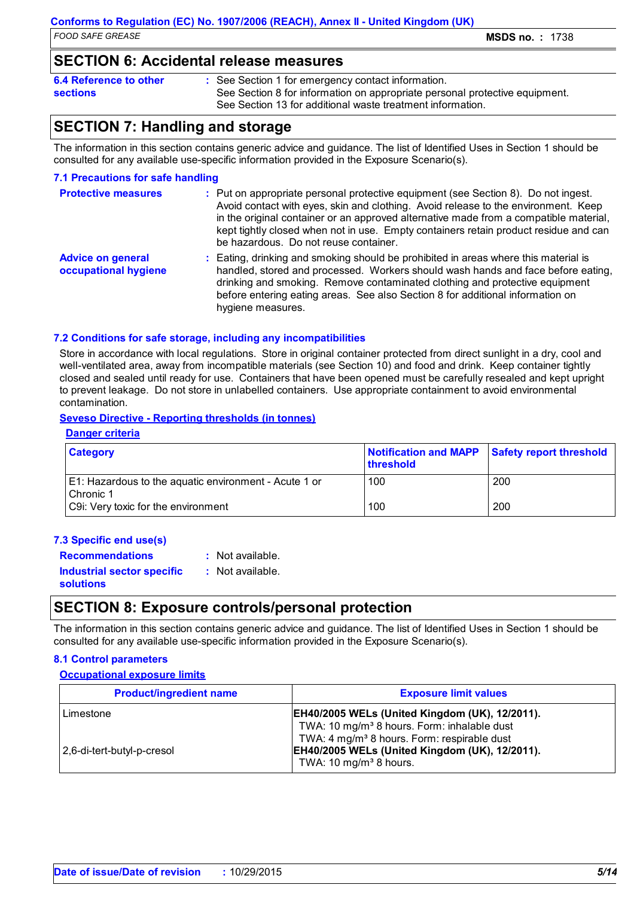### **SECTION 6: Accidental release measures**

| 6.4 Reference to other | : See Section 1 for emergency contact information.                          |
|------------------------|-----------------------------------------------------------------------------|
| <b>sections</b>        | See Section 8 for information on appropriate personal protective equipment. |
|                        | See Section 13 for additional waste treatment information.                  |

### **SECTION 7: Handling and storage**

The information in this section contains generic advice and guidance. The list of Identified Uses in Section 1 should be consulted for any available use-specific information provided in the Exposure Scenario(s).

#### **7.1 Precautions for safe handling**

| <b>Protective measures</b>                       | : Put on appropriate personal protective equipment (see Section 8). Do not ingest.<br>Avoid contact with eyes, skin and clothing. Avoid release to the environment. Keep<br>in the original container or an approved alternative made from a compatible material,<br>kept tightly closed when not in use. Empty containers retain product residue and can<br>be hazardous. Do not reuse container. |
|--------------------------------------------------|----------------------------------------------------------------------------------------------------------------------------------------------------------------------------------------------------------------------------------------------------------------------------------------------------------------------------------------------------------------------------------------------------|
| <b>Advice on general</b><br>occupational hygiene | : Eating, drinking and smoking should be prohibited in areas where this material is<br>handled, stored and processed. Workers should wash hands and face before eating,<br>drinking and smoking. Remove contaminated clothing and protective equipment<br>before entering eating areas. See also Section 8 for additional information on<br>hygiene measures.                                      |

#### **7.2 Conditions for safe storage, including any incompatibilities**

Store in accordance with local regulations. Store in original container protected from direct sunlight in a dry, cool and well-ventilated area, away from incompatible materials (see Section 10) and food and drink. Keep container tightly closed and sealed until ready for use. Containers that have been opened must be carefully resealed and kept upright to prevent leakage. Do not store in unlabelled containers. Use appropriate containment to avoid environmental contamination.

#### **Seveso Directive - Reporting thresholds (in tonnes)**

#### **Danger criteria**

| <b>Category</b>                                                    | <b>Ithreshold</b> | Notification and MAPP Safety report threshold |
|--------------------------------------------------------------------|-------------------|-----------------------------------------------|
| E1: Hazardous to the aquatic environment - Acute 1 or<br>Chronic 1 | 100               | 200                                           |
| C9i: Very toxic for the environment                                | 100               | 200                                           |

| 7.3 Specific end use(s)                               |                  |
|-------------------------------------------------------|------------------|
| <b>Recommendations</b>                                | : Not available. |
| <b>Industrial sector specific</b><br><b>solutions</b> | : Not available. |

### **SECTION 8: Exposure controls/personal protection**

The information in this section contains generic advice and guidance. The list of Identified Uses in Section 1 should be consulted for any available use-specific information provided in the Exposure Scenario(s).

#### **8.1 Control parameters**

#### **Occupational exposure limits**

| <b>Product/ingredient name</b>          | <b>Exposure limit values</b>                                                                                                                                                                                                                                               |
|-----------------------------------------|----------------------------------------------------------------------------------------------------------------------------------------------------------------------------------------------------------------------------------------------------------------------------|
| Limestone<br>2,6-di-tert-butyl-p-cresol | <b>EH40/2005 WELs (United Kingdom (UK), 12/2011).</b><br>TWA: 10 mg/m <sup>3</sup> 8 hours. Form: inhalable dust<br>TWA: 4 mg/m <sup>3</sup> 8 hours. Form: respirable dust<br><b>EH40/2005 WELs (United Kingdom (UK), 12/2011).</b><br>TWA: 10 mg/m <sup>3</sup> 8 hours. |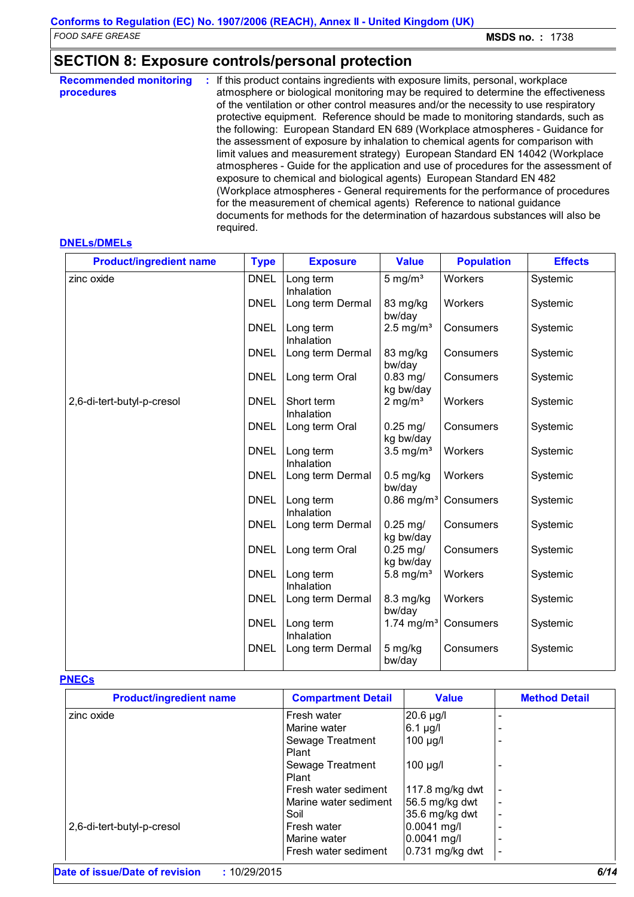### **SECTION 8: Exposure controls/personal protection**

| <b>Recommended monitoring</b><br>procedures | : If this product contains ingredients with exposure limits, personal, workplace<br>atmosphere or biological monitoring may be required to determine the effectiveness<br>of the ventilation or other control measures and/or the necessity to use respiratory<br>protective equipment. Reference should be made to monitoring standards, such as<br>the following: European Standard EN 689 (Workplace atmospheres - Guidance for<br>the assessment of exposure by inhalation to chemical agents for comparison with<br>limit values and measurement strategy) European Standard EN 14042 (Workplace<br>atmospheres - Guide for the application and use of procedures for the assessment of<br>exposure to chemical and biological agents) European Standard EN 482<br>(Workplace atmospheres - General requirements for the performance of procedures<br>for the measurement of chemical agents) Reference to national guidance<br>documents for methods for the determination of hazardous substances will also be |
|---------------------------------------------|-----------------------------------------------------------------------------------------------------------------------------------------------------------------------------------------------------------------------------------------------------------------------------------------------------------------------------------------------------------------------------------------------------------------------------------------------------------------------------------------------------------------------------------------------------------------------------------------------------------------------------------------------------------------------------------------------------------------------------------------------------------------------------------------------------------------------------------------------------------------------------------------------------------------------------------------------------------------------------------------------------------------------|
|                                             | required.                                                                                                                                                                                                                                                                                                                                                                                                                                                                                                                                                                                                                                                                                                                                                                                                                                                                                                                                                                                                             |

#### **DNELs/DMELs**

| <b>Product/ingredient name</b> | <b>Type</b> | <b>Exposure</b>          | <b>Value</b>                       | <b>Population</b> | <b>Effects</b> |
|--------------------------------|-------------|--------------------------|------------------------------------|-------------------|----------------|
| zinc oxide                     | <b>DNEL</b> | Long term<br>Inhalation  | 5 mg/ $m3$                         | Workers           | Systemic       |
|                                | <b>DNEL</b> | Long term Dermal         | 83 mg/kg<br>bw/day                 | Workers           | Systemic       |
|                                | <b>DNEL</b> | Long term<br>Inhalation  | $2.5$ mg/m <sup>3</sup>            | Consumers         | Systemic       |
|                                | <b>DNEL</b> | Long term Dermal         | 83 mg/kg<br>bw/day                 | Consumers         | Systemic       |
|                                | <b>DNEL</b> | Long term Oral           | $0.83$ mg/<br>kg bw/day            | Consumers         | Systemic       |
| 2,6-di-tert-butyl-p-cresol     | <b>DNEL</b> | Short term<br>Inhalation | $2$ mg/m <sup>3</sup>              | Workers           | Systemic       |
|                                | <b>DNEL</b> | Long term Oral           | $0.25 \,\mathrm{mg}/$<br>kg bw/day | Consumers         | Systemic       |
|                                | <b>DNEL</b> | Long term<br>Inhalation  | $3.5$ mg/m <sup>3</sup>            | Workers           | Systemic       |
|                                | <b>DNEL</b> | Long term Dermal         | $0.5$ mg/kg<br>bw/day              | Workers           | Systemic       |
|                                | <b>DNEL</b> | Long term<br>Inhalation  | $0.86$ mg/m <sup>3</sup>           | Consumers         | Systemic       |
|                                | <b>DNEL</b> | Long term Dermal         | $0.25$ mg/<br>kg bw/day            | Consumers         | Systemic       |
|                                | <b>DNEL</b> | Long term Oral           | $0.25$ mg/<br>kg bw/day            | Consumers         | Systemic       |
|                                | <b>DNEL</b> | Long term<br>Inhalation  | 5.8 mg/ $m3$                       | Workers           | Systemic       |
|                                | <b>DNEL</b> | Long term Dermal         | 8.3 mg/kg<br>bw/day                | Workers           | Systemic       |
|                                | <b>DNEL</b> | Long term<br>Inhalation  | 1.74 mg/m <sup>3</sup>             | Consumers         | Systemic       |
|                                | <b>DNEL</b> | Long term Dermal         | 5 mg/kg<br>bw/day                  | Consumers         | Systemic       |

#### **PNECs**

| <b>Product/ingredient name</b> | <b>Compartment Detail</b> | <b>Value</b>    | <b>Method Detail</b>     |
|--------------------------------|---------------------------|-----------------|--------------------------|
| zinc oxide                     | Fresh water               | 20.6 µg/l       |                          |
|                                | Marine water              | $6.1 \mu g/l$   |                          |
|                                | Sewage Treatment<br>Plant | $100 \mu g/l$   |                          |
|                                | Sewage Treatment<br>Plant | $100 \mu g/l$   |                          |
|                                | Fresh water sediment      | 117.8 mg/kg dwt |                          |
|                                | Marine water sediment     | 56.5 mg/kg dwt  |                          |
|                                | Soil                      | 35.6 mg/kg dwt  |                          |
| 2,6-di-tert-butyl-p-cresol     | Fresh water               | 0.0041 mg/l     |                          |
|                                | Marine water              | 0.0041 mg/l     |                          |
|                                | Fresh water sediment      | 0.731 mg/kg dwt | $\overline{\phantom{a}}$ |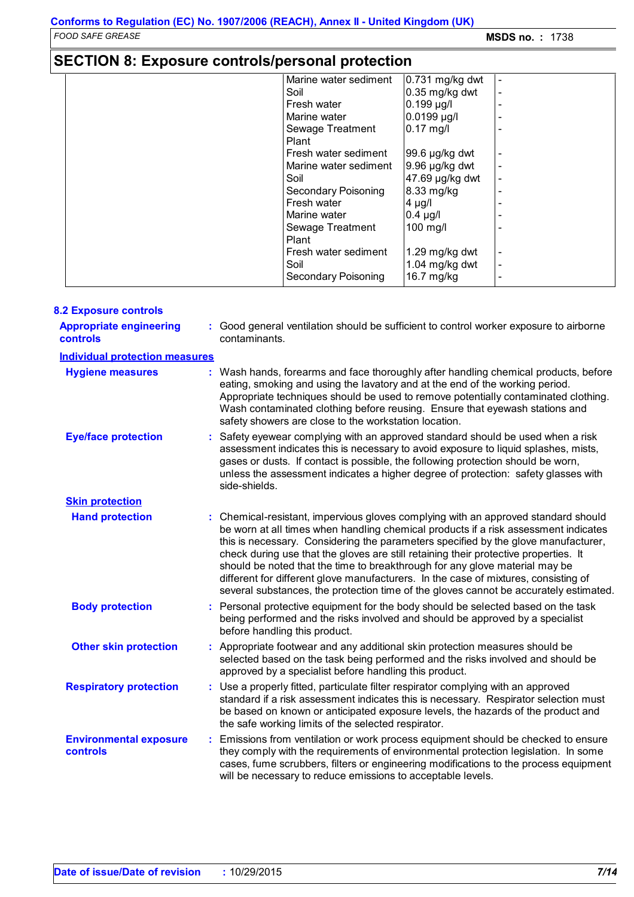## **SECTION 8: Exposure controls/personal protection**

| Marine water sediment      | 0.731 mg/kg dwt     |  |
|----------------------------|---------------------|--|
| Soil                       | $0.35$ mg/kg dwt    |  |
| Fresh water                | $0.199$ µg/l        |  |
| Marine water               | 0.0199 µg/l         |  |
| Sewage Treatment           | $0.17$ mg/l         |  |
| Plant                      |                     |  |
| Fresh water sediment       | 99.6 µg/kg dwt      |  |
| Marine water sediment      | $9.96 \mu g/kg$ dwt |  |
| Soil                       | 47.69 µg/kg dwt     |  |
| <b>Secondary Poisoning</b> | 8.33 mg/kg          |  |
| Fresh water                | $4 \mu g/l$         |  |
| Marine water               | $0.4 \mu$ g/l       |  |
| Sewage Treatment           | 100 mg/l            |  |
| Plant                      |                     |  |
| Fresh water sediment       | 1.29 mg/kg dwt      |  |
| Soil                       | 1.04 mg/kg dwt      |  |
| Secondary Poisoning        | 16.7 mg/kg          |  |

| <b>8.2 Exposure controls</b>                     |                                                                                                                                                                                                                                                                                                                                                                                                                                                                                                                                                                                                                        |
|--------------------------------------------------|------------------------------------------------------------------------------------------------------------------------------------------------------------------------------------------------------------------------------------------------------------------------------------------------------------------------------------------------------------------------------------------------------------------------------------------------------------------------------------------------------------------------------------------------------------------------------------------------------------------------|
| <b>Appropriate engineering</b><br>controls       | : Good general ventilation should be sufficient to control worker exposure to airborne<br>contaminants.                                                                                                                                                                                                                                                                                                                                                                                                                                                                                                                |
| <b>Individual protection measures</b>            |                                                                                                                                                                                                                                                                                                                                                                                                                                                                                                                                                                                                                        |
| <b>Hygiene measures</b>                          | : Wash hands, forearms and face thoroughly after handling chemical products, before<br>eating, smoking and using the lavatory and at the end of the working period.<br>Appropriate techniques should be used to remove potentially contaminated clothing.<br>Wash contaminated clothing before reusing. Ensure that eyewash stations and<br>safety showers are close to the workstation location.                                                                                                                                                                                                                      |
| <b>Eye/face protection</b>                       | Safety eyewear complying with an approved standard should be used when a risk<br>assessment indicates this is necessary to avoid exposure to liquid splashes, mists,<br>gases or dusts. If contact is possible, the following protection should be worn,<br>unless the assessment indicates a higher degree of protection: safety glasses with<br>side-shields.                                                                                                                                                                                                                                                        |
| <b>Skin protection</b>                           |                                                                                                                                                                                                                                                                                                                                                                                                                                                                                                                                                                                                                        |
| <b>Hand protection</b>                           | : Chemical-resistant, impervious gloves complying with an approved standard should<br>be worn at all times when handling chemical products if a risk assessment indicates<br>this is necessary. Considering the parameters specified by the glove manufacturer,<br>check during use that the gloves are still retaining their protective properties. It<br>should be noted that the time to breakthrough for any glove material may be<br>different for different glove manufacturers. In the case of mixtures, consisting of<br>several substances, the protection time of the gloves cannot be accurately estimated. |
| <b>Body protection</b>                           | Personal protective equipment for the body should be selected based on the task<br>being performed and the risks involved and should be approved by a specialist<br>before handling this product.                                                                                                                                                                                                                                                                                                                                                                                                                      |
| <b>Other skin protection</b>                     | : Appropriate footwear and any additional skin protection measures should be<br>selected based on the task being performed and the risks involved and should be<br>approved by a specialist before handling this product.                                                                                                                                                                                                                                                                                                                                                                                              |
| <b>Respiratory protection</b>                    | : Use a properly fitted, particulate filter respirator complying with an approved<br>standard if a risk assessment indicates this is necessary. Respirator selection must<br>be based on known or anticipated exposure levels, the hazards of the product and<br>the safe working limits of the selected respirator.                                                                                                                                                                                                                                                                                                   |
| <b>Environmental exposure</b><br><b>controls</b> | : Emissions from ventilation or work process equipment should be checked to ensure<br>they comply with the requirements of environmental protection legislation. In some<br>cases, fume scrubbers, filters or engineering modifications to the process equipment<br>will be necessary to reduce emissions to acceptable levels.                                                                                                                                                                                                                                                                                        |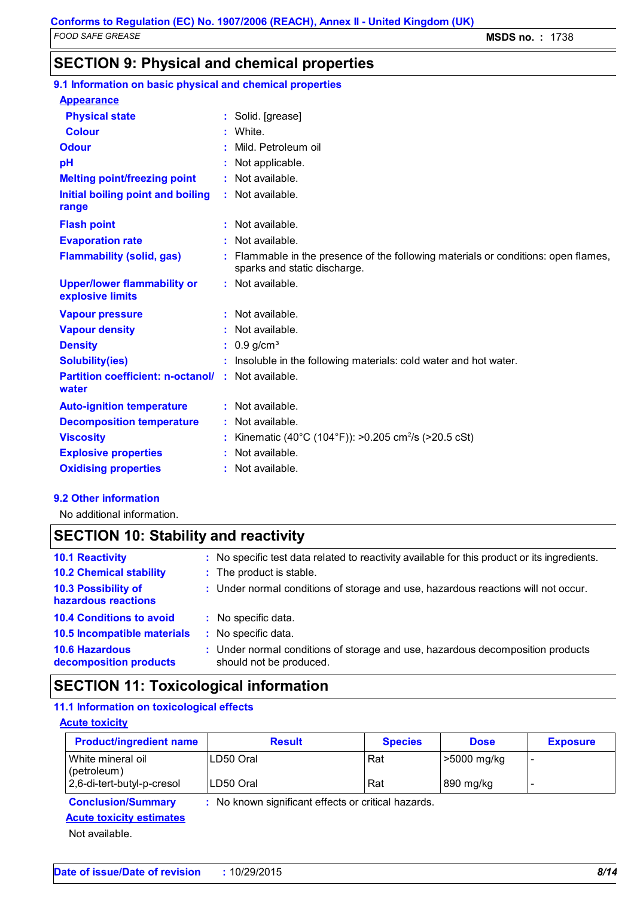### **SECTION 9: Physical and chemical properties**

| 9.1 Information on basic physical and chemical properties          |                                                                                                                    |
|--------------------------------------------------------------------|--------------------------------------------------------------------------------------------------------------------|
| <b>Appearance</b>                                                  |                                                                                                                    |
| <b>Physical state</b>                                              | : Solid. [grease]                                                                                                  |
| <b>Colour</b>                                                      | White.                                                                                                             |
| <b>Odour</b>                                                       | Mild. Petroleum oil                                                                                                |
| pH                                                                 | : Not applicable.                                                                                                  |
| <b>Melting point/freezing point</b>                                | : Not available.                                                                                                   |
| Initial boiling point and boiling<br>range                         | : Not available.                                                                                                   |
| <b>Flash point</b>                                                 | $:$ Not available.                                                                                                 |
| <b>Evaporation rate</b>                                            | : Not available.                                                                                                   |
| <b>Flammability (solid, gas)</b>                                   | : Flammable in the presence of the following materials or conditions: open flames,<br>sparks and static discharge. |
| <b>Upper/lower flammability or</b><br>explosive limits             | : Not available.                                                                                                   |
| <b>Vapour pressure</b>                                             | : Not available.                                                                                                   |
| <b>Vapour density</b>                                              | : Not available.                                                                                                   |
| <b>Density</b>                                                     | $: 0.9$ g/cm <sup>3</sup>                                                                                          |
| <b>Solubility(ies)</b>                                             | : Insoluble in the following materials: cold water and hot water.                                                  |
| <b>Partition coefficient: n-octanol/ : Not available.</b><br>water |                                                                                                                    |
| <b>Auto-ignition temperature</b>                                   | : Not available.                                                                                                   |
| <b>Decomposition temperature</b>                                   | : Not available.                                                                                                   |
| <b>Viscosity</b>                                                   | Kinematic (40°C (104°F)): >0.205 cm <sup>2</sup> /s (>20.5 cSt)                                                    |
| <b>Explosive properties</b>                                        | : Not available.                                                                                                   |
| <b>Oxidising properties</b>                                        | : Not available.                                                                                                   |
|                                                                    |                                                                                                                    |

#### **9.2 Other information**

No additional information.

### **SECTION 10: Stability and reactivity**

| <b>10.1 Reactivity</b>                          | : No specific test data related to reactivity available for this product or its ingredients.              |
|-------------------------------------------------|-----------------------------------------------------------------------------------------------------------|
| <b>10.2 Chemical stability</b>                  | : The product is stable.                                                                                  |
| 10.3 Possibility of<br>hazardous reactions      | : Under normal conditions of storage and use, hazardous reactions will not occur.                         |
| <b>10.4 Conditions to avoid</b>                 | : No specific data.                                                                                       |
| 10.5 Incompatible materials                     | : No specific data.                                                                                       |
| <b>10.6 Hazardous</b><br>decomposition products | : Under normal conditions of storage and use, hazardous decomposition products<br>should not be produced. |

### **SECTION 11: Toxicological information**

### **11.1 Information on toxicological effects**

#### **Acute toxicity**

| <b>Product/ingredient name</b>       | <b>Result</b> | <b>Species</b> | <b>Dose</b> | <b>Exposure</b> |
|--------------------------------------|---------------|----------------|-------------|-----------------|
| White mineral oil<br>$ $ (petroleum) | ILD50 Oral    | Rat            | >5000 mg/kg |                 |
| 2,6-di-tert-butyl-p-cresol           | LD50 Oral     | Rat            | 890 mg/kg   |                 |

**Conclusion/Summary :** No known significant effects or critical hazards.

### **Acute toxicity estimates**

Not available.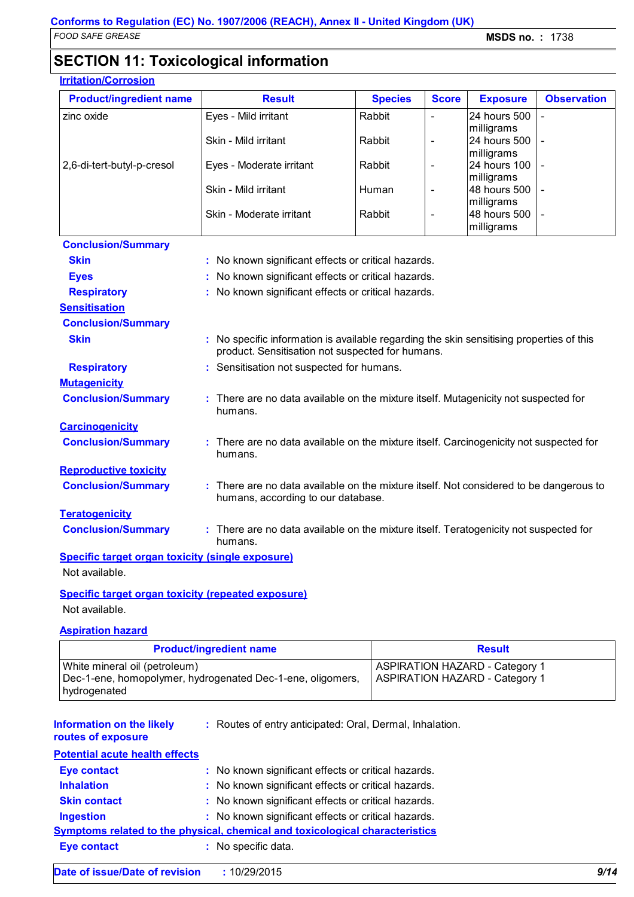2,6-di-tert-butyl-p-cresol  $\vert$  Eyes - Moderate irritant  $\vert$  Rabbit  $\vert$  -  $\vert$  24 hours 100

Skin - Mild irritant Human

### **SECTION 11: Toxicological information**

#### **Irritation/Corrosion**

| <b>rritation/Corrosion</b>     |                      |                |              |                                   |                    |
|--------------------------------|----------------------|----------------|--------------|-----------------------------------|--------------------|
| <b>Product/ingredient name</b> | <b>Result</b>        | <b>Species</b> | <b>Score</b> | <b>Exposure</b>                   | <b>Observation</b> |
| zinc oxide                     | Eyes - Mild irritant | Rabbit         |              | <b>24 hours 500</b><br>milligrams |                    |
|                                | Skin - Mild irritant | Rabbit         |              | 24 hours 500                      |                    |

|                                                         | Skin - Moderate irritant                                                                                                                     | Rabbit | milligrams<br>48 hours 500<br>milligrams |  |
|---------------------------------------------------------|----------------------------------------------------------------------------------------------------------------------------------------------|--------|------------------------------------------|--|
| <b>Conclusion/Summary</b>                               |                                                                                                                                              |        |                                          |  |
| <b>Skin</b>                                             | : No known significant effects or critical hazards.                                                                                          |        |                                          |  |
| <b>Eyes</b>                                             | : No known significant effects or critical hazards.                                                                                          |        |                                          |  |
| <b>Respiratory</b>                                      | : No known significant effects or critical hazards.                                                                                          |        |                                          |  |
| <b>Sensitisation</b>                                    |                                                                                                                                              |        |                                          |  |
| <b>Conclusion/Summary</b>                               |                                                                                                                                              |        |                                          |  |
| <b>Skin</b>                                             | : No specific information is available regarding the skin sensitising properties of this<br>product. Sensitisation not suspected for humans. |        |                                          |  |
| <b>Respiratory</b>                                      | : Sensitisation not suspected for humans.                                                                                                    |        |                                          |  |
| <b>Mutagenicity</b>                                     |                                                                                                                                              |        |                                          |  |
| <b>Conclusion/Summary</b>                               | : There are no data available on the mixture itself. Mutagenicity not suspected for<br>humans.                                               |        |                                          |  |
| <b>Carcinogenicity</b>                                  |                                                                                                                                              |        |                                          |  |
| <b>Conclusion/Summary</b>                               | : There are no data available on the mixture itself. Carcinogenicity not suspected for<br>humans.                                            |        |                                          |  |
| <b>Reproductive toxicity</b>                            |                                                                                                                                              |        |                                          |  |
| <b>Conclusion/Summary</b>                               | : There are no data available on the mixture itself. Not considered to be dangerous to<br>humans, according to our database.                 |        |                                          |  |
| <b>Teratogenicity</b>                                   |                                                                                                                                              |        |                                          |  |
| <b>Conclusion/Summary</b>                               | : There are no data available on the mixture itself. Teratogenicity not suspected for<br>humans.                                             |        |                                          |  |
| <b>Specific target organ toxicity (single exposure)</b> |                                                                                                                                              |        |                                          |  |

Not available.

#### **Specific target organ toxicity (repeated exposure)**

Not available.

#### **Aspiration hazard**

| <b>Product/ingredient name</b>                                                                              | <b>Result</b>                                                                  |
|-------------------------------------------------------------------------------------------------------------|--------------------------------------------------------------------------------|
| White mineral oil (petroleum)<br>Dec-1-ene, homopolymer, hydrogenated Dec-1-ene, oligomers,<br>hydrogenated | <b>ASPIRATION HAZARD - Category 1</b><br><b>ASPIRATION HAZARD - Category 1</b> |

**Information on the likely** 

Routes of entry anticipated: Oral, Dermal, Inhalation. **:**

#### **routes of exposure**

| <b>Potential acute health effects</b> |                                                                                     |
|---------------------------------------|-------------------------------------------------------------------------------------|
| <b>Eye contact</b>                    | : No known significant effects or critical hazards.                                 |
| <b>Inhalation</b>                     | : No known significant effects or critical hazards.                                 |
| <b>Skin contact</b>                   | : No known significant effects or critical hazards.                                 |
| <b>Ingestion</b>                      | : No known significant effects or critical hazards.                                 |
|                                       | <b>Symptoms related to the physical, chemical and toxicological characteristics</b> |
| <b>Eye contact</b>                    | : No specific data.                                                                 |
|                                       |                                                                                     |

-

-

milligrams

milligrams<br>48 hours 500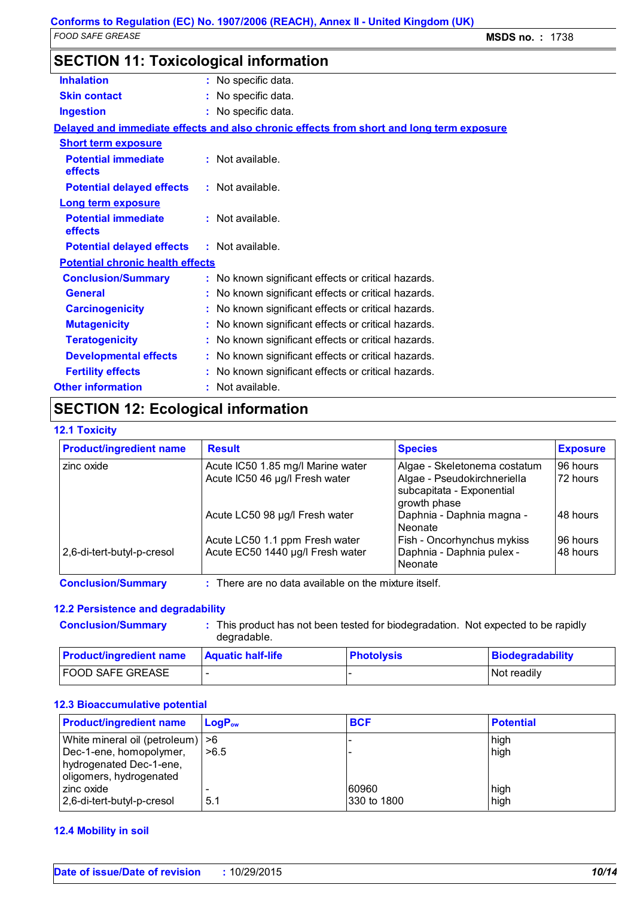| <b>SECTION 11: Toxicological information</b> |                                                                                          |
|----------------------------------------------|------------------------------------------------------------------------------------------|
| <b>Inhalation</b>                            | : No specific data.                                                                      |
| <b>Skin contact</b>                          | : No specific data.                                                                      |
| <b>Ingestion</b>                             | : No specific data.                                                                      |
|                                              | Delayed and immediate effects and also chronic effects from short and long term exposure |
| <b>Short term exposure</b>                   |                                                                                          |
| <b>Potential immediate</b><br>effects        | $:$ Not available.                                                                       |
| <b>Potential delayed effects</b>             | $:$ Not available.                                                                       |
| <b>Long term exposure</b>                    |                                                                                          |
| <b>Potential immediate</b><br>effects        | $:$ Not available.                                                                       |
| <b>Potential delayed effects</b>             | $:$ Not available.                                                                       |
| <b>Potential chronic health effects</b>      |                                                                                          |
| <b>Conclusion/Summary</b>                    | : No known significant effects or critical hazards.                                      |
| <b>General</b>                               | No known significant effects or critical hazards.                                        |
| <b>Carcinogenicity</b>                       | No known significant effects or critical hazards.                                        |
| <b>Mutagenicity</b>                          | No known significant effects or critical hazards.                                        |
| <b>Teratogenicity</b>                        | No known significant effects or critical hazards.                                        |
| <b>Developmental effects</b>                 | : No known significant effects or critical hazards.                                      |
| <b>Fertility effects</b>                     | : No known significant effects or critical hazards.                                      |
| <b>Other information</b>                     | : Not available.                                                                         |

### **SECTION 12: Ecological information**

#### **12.1 Toxicity**

| <b>Product/ingredient name</b> | <b>Result</b>                     | <b>Species</b>                                                           | <b>Exposure</b> |
|--------------------------------|-----------------------------------|--------------------------------------------------------------------------|-----------------|
| zinc oxide                     | Acute IC50 1.85 mg/l Marine water | Algae - Skeletonema costatum                                             | 96 hours        |
|                                | Acute IC50 46 µg/l Fresh water    | Algae - Pseudokirchneriella<br>subcapitata - Exponential<br>growth phase | 72 hours        |
|                                | Acute LC50 98 µg/l Fresh water    | Daphnia - Daphnia magna -<br><b>Neonate</b>                              | 48 hours        |
|                                | Acute LC50 1.1 ppm Fresh water    | Fish - Oncorhynchus mykiss                                               | 96 hours        |
| 2,6-di-tert-butyl-p-cresol     | Acute EC50 1440 µg/l Fresh water  | Daphnia - Daphnia pulex -<br>Neonate                                     | 48 hours        |

**Conclusion/Summary :** There are no data available on the mixture itself.

#### **12.2 Persistence and degradability**

| <b>Conclusion/Summary</b> | This product has not been tested for biodegradation. Not expected to be rapidly<br>degradable. |  |  |
|---------------------------|------------------------------------------------------------------------------------------------|--|--|
|                           |                                                                                                |  |  |

| <b>Product/ingredient name</b> | <b>Aquatic half-life</b> | <b>Photolysis</b> | Biodegradability |
|--------------------------------|--------------------------|-------------------|------------------|
| <b>FOOD SAFE GREASE</b>        |                          |                   | Not readily      |

#### **12.3 Bioaccumulative potential**

| <b>Product/ingredient name</b>      | $LoaPow$ | <b>BCF</b>  | <b>Potential</b> |
|-------------------------------------|----------|-------------|------------------|
| White mineral oil (petroleum)   > 6 |          |             | high             |
| Dec-1-ene, homopolymer,             | >6.5     |             | high             |
| hydrogenated Dec-1-ene,             |          |             |                  |
| oligomers, hydrogenated             |          |             |                  |
| l zinc oxide                        |          | 60960       | high             |
| 2,6-di-tert-butyl-p-cresol          | 5.1      | 330 to 1800 | high             |

#### **12.4 Mobility in soil**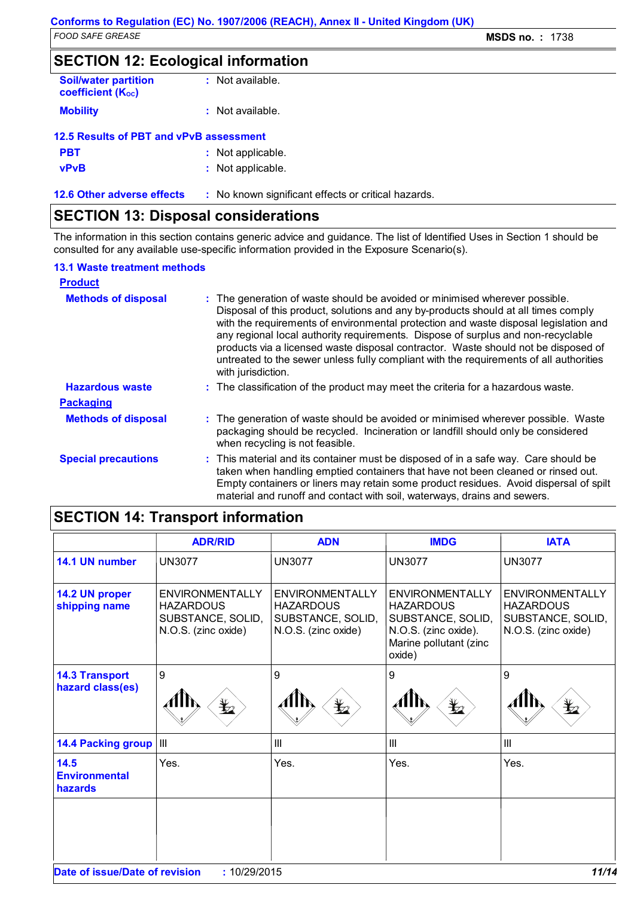### **SECTION 12: Ecological information**

| <b>Soil/water partition</b><br><b>coefficient (Koc)</b> | : Not available.   |  |  |  |  |  |
|---------------------------------------------------------|--------------------|--|--|--|--|--|
| <b>Mobility</b>                                         | $:$ Not available. |  |  |  |  |  |
| 12.5 Results of PBT and vPvB assessment                 |                    |  |  |  |  |  |

| <b>PBT</b>    | : Not applicable.                |
|---------------|----------------------------------|
| $\sim$ $\sim$ | Administration of the content of |

| <b>vPvB</b> | : Not applicable. |
|-------------|-------------------|
|             |                   |

**12.6 Other adverse effects** : No known significant effects or critical hazards.

### **SECTION 13: Disposal considerations**

The information in this section contains generic advice and guidance. The list of Identified Uses in Section 1 should be consulted for any available use-specific information provided in the Exposure Scenario(s).

#### **13.1 Waste treatment methods**

| <b>Product</b>             |                                                                                                                                                                                                                                                                                                                                                                                                                                                                                                                                                     |
|----------------------------|-----------------------------------------------------------------------------------------------------------------------------------------------------------------------------------------------------------------------------------------------------------------------------------------------------------------------------------------------------------------------------------------------------------------------------------------------------------------------------------------------------------------------------------------------------|
| <b>Methods of disposal</b> | : The generation of waste should be avoided or minimised wherever possible.<br>Disposal of this product, solutions and any by-products should at all times comply<br>with the requirements of environmental protection and waste disposal legislation and<br>any regional local authority requirements. Dispose of surplus and non-recyclable<br>products via a licensed waste disposal contractor. Waste should not be disposed of<br>untreated to the sewer unless fully compliant with the requirements of all authorities<br>with jurisdiction. |
| <b>Hazardous waste</b>     | : The classification of the product may meet the criteria for a hazardous waste.                                                                                                                                                                                                                                                                                                                                                                                                                                                                    |
| <b>Packaging</b>           |                                                                                                                                                                                                                                                                                                                                                                                                                                                                                                                                                     |
| <b>Methods of disposal</b> | : The generation of waste should be avoided or minimised wherever possible. Waste<br>packaging should be recycled. Incineration or landfill should only be considered<br>when recycling is not feasible.                                                                                                                                                                                                                                                                                                                                            |
| <b>Special precautions</b> | : This material and its container must be disposed of in a safe way. Care should be<br>taken when handling emptied containers that have not been cleaned or rinsed out.<br>Empty containers or liners may retain some product residues. Avoid dispersal of spilt<br>material and runoff and contact with soil, waterways, drains and sewers.                                                                                                                                                                                                        |

### **SECTION 14: Transport information**

|                                           | <b>ADR/RID</b>                                                                           | <b>ADN</b>                                                                             | <b>IMDG</b>                                                                                                                 | <b>IATA</b>                                                                     |
|-------------------------------------------|------------------------------------------------------------------------------------------|----------------------------------------------------------------------------------------|-----------------------------------------------------------------------------------------------------------------------------|---------------------------------------------------------------------------------|
| 14.1 UN number                            | <b>UN3077</b>                                                                            | <b>UN3077</b>                                                                          | <b>UN3077</b>                                                                                                               | <b>UN3077</b>                                                                   |
| 14.2 UN proper<br>shipping name           | <b>ENVIRONMENTALLY</b><br><b>HAZARDOUS</b><br>SUBSTANCE, SOLID,<br>N.O.S. (zinc oxide)   | <b>ENVIRONMENTALLY</b><br><b>HAZARDOUS</b><br>SUBSTANCE, SOLID,<br>N.O.S. (zinc oxide) | <b>ENVIRONMENTALLY</b><br><b>HAZARDOUS</b><br>SUBSTANCE, SOLID,<br>N.O.S. (zinc oxide).<br>Marine pollutant (zinc<br>oxide) | ENVIRONMENTALLY<br><b>HAZARDOUS</b><br>SUBSTANCE, SOLID,<br>N.O.S. (zinc oxide) |
| <b>14.3 Transport</b><br>hazard class(es) | 9<br>$\mathbf{\mathbf{\mathbf{\mathbf{\mathbf{\mathbf{\mathbf{\mathbf{\mathbf{z}}}}}}}}$ | 9<br>$\mathbf{\mathbf{\underline{Y}}_{2}}$                                             | 9<br>∦llN<br>$\bigstar$                                                                                                     | 9<br>AIIN<br>$\bigstar$                                                         |
| <b>14.4 Packing group</b>                 | $\vert$ $\vert$ $\vert$ $\vert$                                                          | III                                                                                    | III                                                                                                                         | III                                                                             |
| 14.5<br><b>Environmental</b><br>hazards   | Yes.                                                                                     | Yes.                                                                                   | Yes.                                                                                                                        | Yes.                                                                            |
|                                           |                                                                                          |                                                                                        |                                                                                                                             |                                                                                 |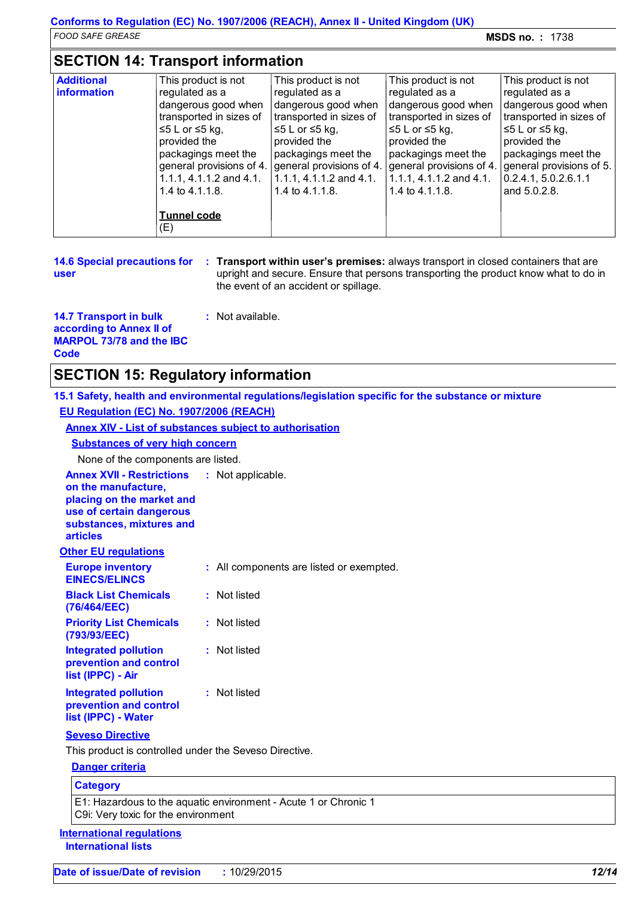### **SECTION 14: Transport information**

| <b>Additional</b><br>information | This product is not<br>regulated as a<br>dangerous good when<br>transported in sizes of<br>$≤5 L$ or $≤5$ kg,<br>provided the<br>packagings meet the<br>general provisions of 4.<br>1.1.1, 4.1.1.2 and 4.1.<br>1.4 to 4.1.1.8.<br><b>Tunnel code</b><br>(E) | This product is not<br>regulated as a<br>dangerous good when<br>transported in sizes of<br>$≤5 L$ or $≤5$ kg,<br>provided the<br>packagings meet the<br>general provisions of 4.<br>1.1.1, 4.1.1.2 and 4.1.<br>1.4 to 4.1.1.8. | This product is not<br>regulated as a<br>dangerous good when<br>transported in sizes of<br>≤5 L or ≤5 kg,<br>provided the<br>packagings meet the<br>general provisions of 4.<br>1.1.1, 4.1.1.2 and 4.1.<br>1.4 to 4.1.1.8. | This product is not<br>regulated as a<br>dangerous good when<br>transported in sizes of<br>$\leq$ 5 L or ≤5 kg,<br>provided the<br>packagings meet the<br>general provisions of 5.<br> 0.2.4.1, 5.0.2.6.1.1<br>and 5.0.2.8. |
|----------------------------------|-------------------------------------------------------------------------------------------------------------------------------------------------------------------------------------------------------------------------------------------------------------|--------------------------------------------------------------------------------------------------------------------------------------------------------------------------------------------------------------------------------|----------------------------------------------------------------------------------------------------------------------------------------------------------------------------------------------------------------------------|-----------------------------------------------------------------------------------------------------------------------------------------------------------------------------------------------------------------------------|
|----------------------------------|-------------------------------------------------------------------------------------------------------------------------------------------------------------------------------------------------------------------------------------------------------------|--------------------------------------------------------------------------------------------------------------------------------------------------------------------------------------------------------------------------------|----------------------------------------------------------------------------------------------------------------------------------------------------------------------------------------------------------------------------|-----------------------------------------------------------------------------------------------------------------------------------------------------------------------------------------------------------------------------|

|      | <b>14.6 Special precautions for</b> |
|------|-------------------------------------|
| user |                                     |

**Transport within user's premises:** always transport in closed containers that are **:** upright and secure. Ensure that persons transporting the product know what to do in the event of an accident or spillage.

**14.7 Transport in bulk according to Annex II of MARPOL 73/78 and the IBC Code**

### **SECTION 15: Regulatory information**

**15.1 Safety, health and environmental regulations/legislation specific for the substance or mixture EU Regulation (EC) No. 1907/2006 (REACH)**

**Annex XIV - List of substances subject to authorisation**

**:** Not available.

#### **Substances of very high concern**

None of the components are listed.

| <b>Annex XVII - Restrictions</b><br>on the manufacture,<br>placing on the market and<br>use of certain dangerous<br>substances, mixtures and<br><b>articles</b> | : Not applicable.                                               |
|-----------------------------------------------------------------------------------------------------------------------------------------------------------------|-----------------------------------------------------------------|
| <b>Other EU regulations</b>                                                                                                                                     |                                                                 |
| <b>Europe inventory</b><br><b>EINECS/ELINCS</b>                                                                                                                 | : All components are listed or exempted.                        |
| <b>Black List Chemicals</b><br>(76/464/EEC)                                                                                                                     | : Not listed                                                    |
| <b>Priority List Chemicals</b><br>(793/93/EEC)                                                                                                                  | : Not listed                                                    |
| <b>Integrated pollution</b><br>prevention and control<br>list (IPPC) - Air                                                                                      | : Not listed                                                    |
| <b>Integrated pollution</b><br>prevention and control<br>list (IPPC) - Water                                                                                    | : Not listed                                                    |
| <b>Seveso Directive</b>                                                                                                                                         |                                                                 |
| This product is controlled under the Seveso Directive.                                                                                                          |                                                                 |
| <b>Danger criteria</b>                                                                                                                                          |                                                                 |
| <b>Category</b>                                                                                                                                                 |                                                                 |
| C9i: Very toxic for the environment                                                                                                                             | E1: Hazardous to the aquatic environment - Acute 1 or Chronic 1 |
| <b>International requlations</b><br><b>International lists</b>                                                                                                  |                                                                 |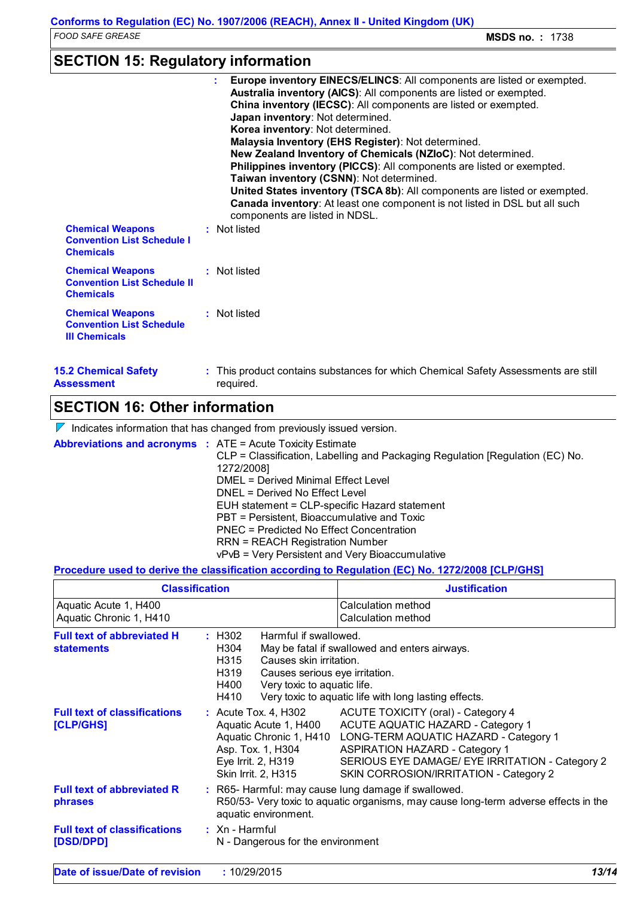### **SECTION 15: Regulatory information**

### **SECTION 16: Other information**

 $\nabla$  Indicates information that has changed from previously issued version.

**Abbreviations and acronyms :** ATE = Acute Toxicity Estimate

CLP = Classification, Labelling and Packaging Regulation [Regulation (EC) No. 1272/2008] DMEL = Derived Minimal Effect Level DNEL = Derived No Effect Level EUH statement = CLP-specific Hazard statement PBT = Persistent, Bioaccumulative and Toxic PNEC = Predicted No Effect Concentration RRN = REACH Registration Number vPvB = Very Persistent and Very Bioaccumulative

#### **Procedure used to derive the classification according to Regulation (EC) No. 1272/2008 [CLP/GHS]**

|                                                        | <b>Classification</b>                                                                                                                                                                                                                                                         | <b>Justification</b>                                                                                                                                                                                                                                                                                                      |  |
|--------------------------------------------------------|-------------------------------------------------------------------------------------------------------------------------------------------------------------------------------------------------------------------------------------------------------------------------------|---------------------------------------------------------------------------------------------------------------------------------------------------------------------------------------------------------------------------------------------------------------------------------------------------------------------------|--|
| Aquatic Acute 1, H400<br>Aquatic Chronic 1, H410       |                                                                                                                                                                                                                                                                               | Calculation method<br>Calculation method                                                                                                                                                                                                                                                                                  |  |
| <b>Full text of abbreviated H</b><br><b>statements</b> | : H302<br>Harmful if swallowed.<br>H304<br>May be fatal if swallowed and enters airways.<br>H315<br>Causes skin irritation.<br>H319<br>Causes serious eye irritation.<br>Very toxic to aquatic life.<br>H400<br>H410<br>Very toxic to aquatic life with long lasting effects. |                                                                                                                                                                                                                                                                                                                           |  |
| <b>Full text of classifications</b><br>[CLP/GHS]       | Asp. Tox. 1, H304<br>Eye Irrit. 2, H319<br>Skin Irrit. 2, H315                                                                                                                                                                                                                | : Acute Tox. 4, H302 ACUTE TOXICITY (oral) - Category 4<br>Aquatic Acute 1, H400 ACUTE AQUATIC HAZARD - Category 1<br>Aquatic Chronic 1, H410 LONG-TERM AQUATIC HAZARD - Category 1<br><b>ASPIRATION HAZARD - Category 1</b><br>SERIOUS EYE DAMAGE/ EYE IRRITATION - Category 2<br>SKIN CORROSION/IRRITATION - Category 2 |  |
| <b>Full text of abbreviated R</b><br>phrases           | aquatic environment.                                                                                                                                                                                                                                                          | : R65- Harmful: may cause lung damage if swallowed.<br>R50/53- Very toxic to aquatic organisms, may cause long-term adverse effects in the                                                                                                                                                                                |  |
| <b>Full text of classifications</b><br>[DSD/DPD]       | $:$ Xn - Harmful<br>N - Dangerous for the environment                                                                                                                                                                                                                         |                                                                                                                                                                                                                                                                                                                           |  |